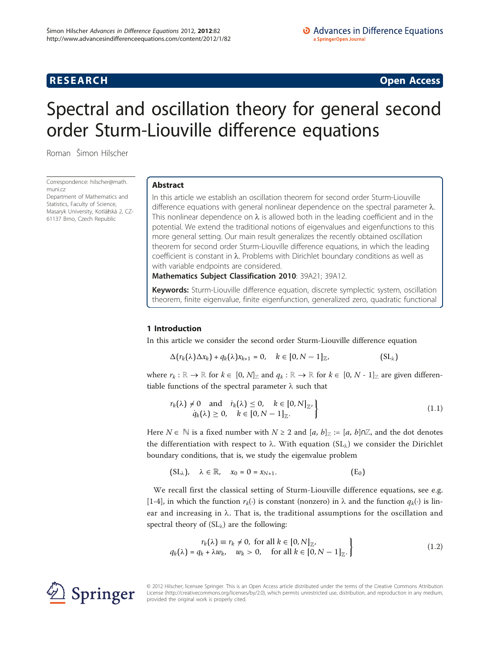**RESEARCH CONSTRUCTION CONSTRUCTS** 

# Spectral and oscillation theory for general second order Sturm-Liouville difference equations

Roman Šimon Hilscher

Correspondence: [hilscher@math.](mailto:hilscher@math.muni.cz) [muni.cz](mailto:hilscher@math.muni.cz)

Department of Mathematics and Statistics, Faculty of Science, Masaryk University, Kotlářská 2, CZ-61137 Brno, Czech Republic

# Abstract

In this article we establish an oscillation theorem for second order Sturm-Liouville difference equations with general nonlinear dependence on the spectral parameter  $\lambda$ . This nonlinear dependence on  $\lambda$  is allowed both in the leading coefficient and in the potential. We extend the traditional notions of eigenvalues and eigenfunctions to this more general setting. Our main result generalizes the recently obtained oscillation theorem for second order Sturm-Liouville difference equations, in which the leading coefficient is constant in  $\lambda$ . Problems with Dirichlet boundary conditions as well as with variable endpoints are considered.

Mathematics Subject Classification 2010: 39A21; 39A12.

Keywords: Sturm-Liouville difference equation, discrete symplectic system, oscillation theorem, finite eigenvalue, finite eigenfunction, generalized zero, quadratic functional

## 1 Introduction

In this article we consider the second order Sturm-Liouville difference equation

$$
\Delta(r_k(\lambda)\Delta x_k) + q_k(\lambda)x_{k+1} = 0, \quad k \in [0, N-1]_{\mathbb{Z}},
$$
 (SL<sub>\lambda</sub>)

where  $r_k : \mathbb{R} \to \mathbb{R}$  for  $k \in [0, N]$  and  $q_k : \mathbb{R} \to \mathbb{R}$  for  $k \in [0, N - 1]$  are given differentiable functions of the spectral parameter  $\lambda$  such that

$$
r_k(\lambda) \neq 0 \quad \text{and} \quad \dot{r}_k(\lambda) \leq 0, \quad k \in [0, N]_{\mathbb{Z}'} \}
$$
  
\n
$$
\dot{q}_k(\lambda) \geq 0, \quad k \in [0, N - 1]_{\mathbb{Z}}.
$$
\n(1.1)

Here  $N \in \mathbb{N}$  is a fixed number with  $N \geq 2$  and  $[a, b]_{\mathbb{Z}} := [a, b] \cap \mathbb{Z}$ , and the dot denotes the differentiation with respect to  $\lambda$ . With equation (SL<sub> $\lambda$ </sub>) we consider the Dirichlet boundary conditions, that is, we study the eigenvalue problem

$$
(SL_{\lambda}), \quad \lambda \in \mathbb{R}, \quad x_0 = 0 = x_{N+1}.
$$
 (E<sub>0</sub>)

We recall first the classical setting of Sturm-Liouville difference equations, see e.g. [[1-4](#page-17-0)], in which the function  $r_k(\cdot)$  is constant (nonzero) in  $\lambda$  and the function  $q_k(\cdot)$  is linear and increasing in  $\lambda$ . That is, the traditional assumptions for the oscillation and spectral theory of  $(SL<sub>\lambda</sub>)$  are the following:

$$
r_k(\lambda) \equiv r_k \neq 0, \text{ for all } k \in [0, N]_{\mathbb{Z}},
$$
  
\n
$$
q_k(\lambda) = q_k + \lambda w_k, \quad w_k > 0, \quad \text{for all } k \in [0, N - 1]_{\mathbb{Z}}.
$$
\n
$$
(1.2)
$$



© 2012 Hilscher; licensee Springer. This is an Open Access article distributed under the terms of the Creative Commons Attribution License [\(http://creativecommons.org/licenses/by/2.0](http://creativecommons.org/licenses/by/2.0)), which permits unrestricted use, distribution, and reproduction in any medium, provided the original work is properly cited.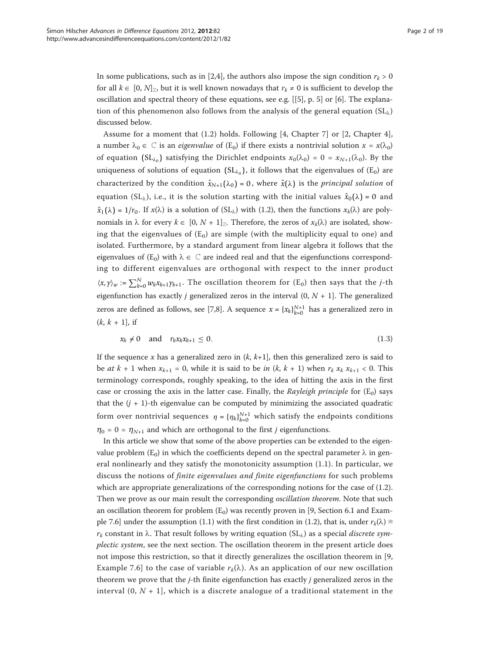In some publications, such as in [[2,4\]](#page-17-0), the authors also impose the sign condition  $r_k > 0$ for all  $k \in [0, N]_{\mathbb{Z}}$ , but it is well known nowadays that  $r_k \neq 0$  is sufficient to develop the oscillation and spectral theory of these equations, see e.g. [[\[5](#page-18-0)], p. 5] or [[6](#page-18-0)]. The explanation of this phenomenon also follows from the analysis of the general equation  $(SL<sub>\lambda</sub>)$ discussed below.

Assume for a moment that (1.2) holds. Following [4, Chapter 7] or [2, Chapter 4], a number  $\lambda_0 \in \mathbb{C}$  is an *eigenvalue* of  $(E_0)$  if there exists a nontrivial solution  $x = x(\lambda_0)$ of equation (SL<sub> $\lambda_0$ </sub>) satisfying the Dirichlet endpoints  $x_0(\lambda_0)=0=x_{N+1}(\lambda_0)$ . By the uniqueness of solutions of equation ( $SL_{\lambda_0}$ ), it follows that the eigenvalues of (E<sub>0</sub>) are characterized by the condition  $\hat{x}_{N+1}(\lambda_0)=0$ , where  $\hat{x}(\lambda)$  is the *principal solution* of equation (SL<sub>λ</sub>), i.e., it is the solution starting with the initial values  $\hat{x}_0(\lambda) = 0$  and  $\hat{x}_1(\lambda) = 1/r_0$ . If  $x(\lambda)$  is a solution of (SL<sub> $\lambda$ </sub>) with (1.2), then the functions  $x_k(\lambda)$  are polynomials in  $\lambda$  for every  $k \in [0, N + 1]_{\mathbb{Z}}$ . Therefore, the zeros of  $x_k(\lambda)$  are isolated, showing that the eigenvalues of  $(E_0)$  are simple (with the multiplicity equal to one) and isolated. Furthermore, by a standard argument from linear algebra it follows that the eigenvalues of  $(E_0)$  with  $\lambda \in \mathbb{C}$  are indeed real and that the eigenfunctions corresponding to different eigenvalues are orthogonal with respect to the inner product  $\langle x, y \rangle_w := \sum_{k=0}^N w_k x_{k+1} y_{k+1}$ . The oscillation theorem for  $(E_0)$  then says that the *j*-th eigenfunction has exactly *j* generalized zeros in the interval  $(0, N + 1]$ . The generalized zeros are defined as follows, see [\[7,8](#page-18-0)]. A sequence  $x = \{x_k\}_{k=0}^{N+1}$  has a generalized zero in  $(k, k + 1]$ , if

$$
x_k \neq 0 \quad \text{and} \quad r_k x_k x_{k+1} \leq 0. \tag{1.3}
$$

If the sequence x has a generalized zero in  $(k, k+1]$ , then this generalized zero is said to be at  $k + 1$  when  $x_{k+1} = 0$ , while it is said to be in  $(k, k + 1)$  when  $r_k x_k x_{k+1} < 0$ . This terminology corresponds, roughly speaking, to the idea of hitting the axis in the first case or crossing the axis in the latter case. Finally, the Rayleigh principle for  $(E_0)$  says that the  $(j + 1)$ -th eigenvalue can be computed by minimizing the associated quadratic form over nontrivial sequences  $\eta = {\eta_k}_{k=0}^{N+1}$  which satisfy the endpoints conditions  $\eta_0 = 0 = \eta_{N+1}$  and which are orthogonal to the first *j* eigenfunctions.

In this article we show that some of the above properties can be extended to the eigenvalue problem (E<sub>0</sub>) in which the coefficients depend on the spectral parameter  $\lambda$  in general nonlinearly and they satisfy the monotonicity assumption (1.1). In particular, we discuss the notions of finite eigenvalues and finite eigenfunctions for such problems which are appropriate generalizations of the corresponding notions for the case of (1.2). Then we prove as our main result the corresponding *oscillation theorem*. Note that such an oscillation theorem for problem  $(E_0)$  was recently proven in [9, Section 6.1 and Example 7.6] under the assumption (1.1) with the first condition in (1.2), that is, under  $r_k(\lambda) \equiv$  $r_k$  constant in  $\lambda$ . That result follows by writing equation (SL<sub> $\lambda$ </sub>) as a special *discrete sym*plectic system, see the next section. The oscillation theorem in the present article does not impose this restriction, so that it directly generalizes the oscillation theorem in [9, Example 7.6] to the case of variable  $r_k(\lambda)$ . As an application of our new oscillation theorem we prove that the  $j$ -th finite eigenfunction has exactly  $j$  generalized zeros in the interval  $(0, N + 1]$ , which is a discrete analogue of a traditional statement in the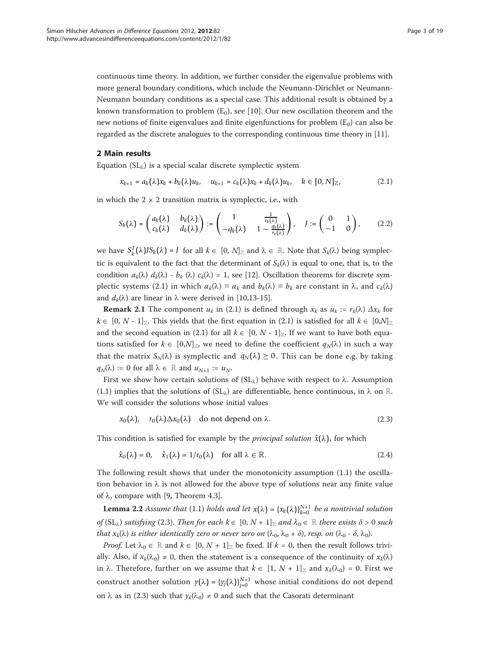continuous time theory. In addition, we further consider the eigenvalue problems with more general boundary conditions, which include the Neumann-Dirichlet or Neumann-Neumann boundary conditions as a special case. This additional result is obtained by a known transformation to problem  $(E_0)$ , see [[10](#page-18-0)]. Our new oscillation theorem and the new notions of finite eigenvalues and finite eigenfunctions for problem  $(E_0)$  can also be regarded as the discrete analogues to the corresponding continuous time theory in [\[11\]](#page-18-0).

#### 2 Main results

Equation  $(SL<sub>\lambda</sub>)$  is a special scalar discrete symplectic system

$$
x_{k+1} = a_k(\lambda)x_k + b_k(\lambda)u_k, \quad u_{k+1} = c_k(\lambda)x_k + d_k(\lambda)u_k, \quad k \in [0, N]_{\mathbb{Z}}, \tag{2.1}
$$

in which the  $2 \times 2$  transition matrix is symplectic, i.e., with

$$
S_k(\lambda) = \begin{pmatrix} a_k(\lambda) & b_k(\lambda) \\ c_k(\lambda) & d_k(\lambda) \end{pmatrix} := \begin{pmatrix} 1 & \frac{1}{r_k(\lambda)} \\ -q_k(\lambda) & 1 - \frac{q_k(\lambda)}{r_k(\lambda)} \end{pmatrix}, \quad J := \begin{pmatrix} 0 & 1 \\ -1 & 0 \end{pmatrix}, \quad (2.2)
$$

we have  $S_k^T(\lambda)JS_k(\lambda) = J$  for all  $k \in [0, N]_{\mathbb{Z}}$  and  $\lambda \in \mathbb{R}$ . Note that  $S_k(\lambda)$  being symplectic is equivalent to the fact that the determinant of  $S_k(\lambda)$  is equal to one, that is, to the condition  $a_k(\lambda) d_k(\lambda) - b_k(\lambda) c_k(\lambda) = 1$ , see [\[12\]](#page-18-0). Oscillation theorems for discrete symplectic systems (2.1) in which  $a_k(\lambda) \equiv a_k$  and  $b_k(\lambda) \equiv b_k$  are constant in  $\lambda$ , and  $c_k(\lambda)$ and  $d_k(\lambda)$  are linear in  $\lambda$  were derived in [[10](#page-18-0),[13](#page-18-0)-[15\]](#page-18-0).

**Remark 2.1** The component  $u_k$  in (2.1) is defined through  $x_k$  as  $u_k := r_k(\lambda) \Delta x_k$  for  $k \in [0, N - 1]_Z$ . This yields that the first equation in (2.1) is satisfied for all  $k \in [0,N]_Z$ and the second equation in (2.1) for all  $k \in [0, N - 1]_Z$ . If we want to have both equations satisfied for  $k \in [0,N]_Z$ , we need to define the coefficient  $q_N(\lambda)$  in such a way that the matrix  $S_N(\lambda)$  is symplectic and  $q_N(\lambda) \geq 0$ . This can be done e.g. by taking  $q_N(\lambda) := 0$  for all  $\lambda \in \mathbb{R}$  and  $u_{N+1} := u_N$ .

First we show how certain solutions of  $(SL<sub>\lambda</sub>)$  behave with respect to  $\lambda$ . Assumption (1.1) implies that the solutions of (SL<sub> $\lambda$ </sub>) are differentiable, hence continuous, in  $\lambda$  on R. We will consider the solutions whose initial values

 $x_0(\lambda)$ ,  $r_0(\lambda)\Delta x_0(\lambda)$  do not depend on  $\lambda$ . (2.3)

This condition is satisfied for example by the *principal solution*  $\hat{x}(\lambda)$ , for which

$$
\hat{x}_0(\lambda) = 0, \quad \hat{x}_1(\lambda) = 1/r_0(\lambda) \quad \text{for all } \lambda \in \mathbb{R}.
$$
 (2.4)

The following result shows that under the monotonicity assumption (1.1) the oscillation behavior in  $\lambda$  is not allowed for the above type of solutions near any finite value of  $\lambda$ , compare with [9, Theorem 4.3].

**Lemma 2.2** Assume that (1.1) holds and let  $x(\lambda) = {x_k(\lambda)}_{k=0}^{N+1}$  be a nontrivial solution of (SL<sub> $\lambda$ </sub>) satisfying (2.3). Then for each  $k \in [0, N + 1]_{{\mathbb{Z}}}$  and  $\lambda_0 \in {\mathbb{R}}$  there exists  $\delta > 0$  such that  $x_k(\lambda)$  is either identically zero or never zero on  $(\lambda_0, \lambda_0 + \delta)$ , resp. on  $(\lambda_0 - \delta, \lambda_0)$ .

*Proof.* Let  $\lambda_0 \in \mathbb{R}$  and  $k \in [0, N + 1]$  be fixed. If  $k = 0$ , then the result follows trivially. Also, if  $x_k(\lambda_0) \neq 0$ , then the statement is a consequence of the continuity of  $x_k(\lambda)$ in  $\lambda$ . Therefore, further on we assume that  $k \in [1, N + 1]_{{\mathbb{Z}}}$  and  $x_k(\lambda_0) = 0$ . First we construct another solution  $\gamma(\lambda) = {\gamma_j(\lambda)}_{j=0}^{N+1}$  whose initial conditions do not depend on  $\lambda$  as in (2.3) such that  $y_k(\lambda_0) \neq 0$  and such that the Casorati determinant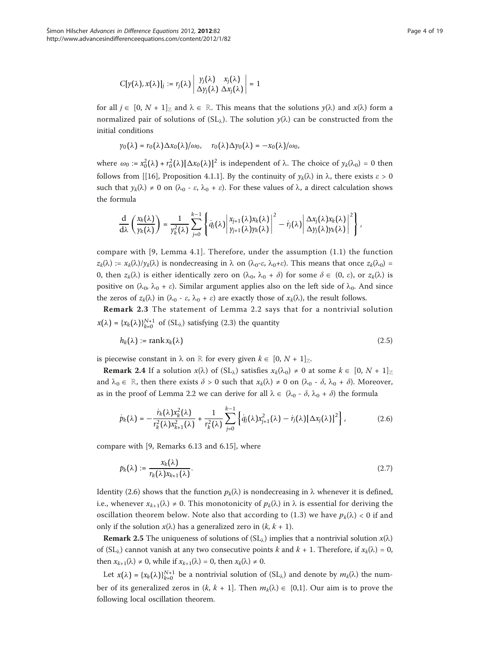$$
C[\gamma(\lambda),x(\lambda)]_j:=r_j(\lambda)\begin{vmatrix}y_j(\lambda)&x_j(\lambda)\\ \Delta y_j(\lambda)&\Delta x_j(\lambda)\end{vmatrix}=1
$$

for all  $j \in [0, N + 1]$  and  $\lambda \in \mathbb{R}$ . This means that the solutions  $y(\lambda)$  and  $x(\lambda)$  form a normalized pair of solutions of  $(SL_{\lambda})$ . The solution  $y(\lambda)$  can be constructed from the initial conditions

$$
\gamma_0(\lambda)=r_0(\lambda)\Delta x_0(\lambda)/\omega_0,\quad r_0(\lambda)\Delta \gamma_0(\lambda)=-x_0(\lambda)/\omega_0,
$$

where  $\omega_0 := x_0^2(\lambda) + r_0^2(\lambda)[\Delta x_0(\lambda)]^2$  is independent of  $\lambda$ . The choice of  $y_k(\lambda_0) = 0$  then follows from [[\[16](#page-18-0)], Proposition 4.1.1]. By the continuity of  $\gamma_k(\lambda)$  in  $\lambda$ , there exists  $\varepsilon > 0$ such that  $y_k(\lambda) \neq 0$  on  $(\lambda_0 - \varepsilon, \lambda_0 + \varepsilon)$ . For these values of  $\lambda$ , a direct calculation shows the formula

$$
\frac{\mathrm{d}}{\mathrm{d}\lambda}\left(\frac{x_k(\lambda)}{y_k(\lambda)}\right)=\frac{1}{\gamma_k^2(\lambda)}\sum_{j=0}^{k-1}\left\{\dot{q}_j(\lambda)\left|\frac{x_{j+1}(\lambda)x_k(\lambda)}{y_{j+1}(\lambda)y_k(\lambda)}\right|^2-\dot{r}_j(\lambda)\left|\frac{\Delta x_j(\lambda)x_k(\lambda)}{\Delta y_j(\lambda)y_k(\lambda)}\right|^2\right\},\,
$$

compare with [9, Lemma 4.1]. Therefore, under the assumption (1.1) the function  $z_k(\lambda) := x_k(\lambda)/y_k(\lambda)$  is nondecreasing in  $\lambda$  on  $(\lambda_0-\varepsilon, \lambda_0+\varepsilon)$ . This means that once  $z_k(\lambda_0)$  = 0, then  $z_k(\lambda)$  is either identically zero on  $(\lambda_0, \lambda_0 + \delta)$  for some  $\delta \in (0, \varepsilon)$ , or  $z_k(\lambda)$  is positive on ( $\lambda_0$ ,  $\lambda_0 + \varepsilon$ ). Similar argument applies also on the left side of  $\lambda_0$ . And since the zeros of  $z_k(\lambda)$  in  $(\lambda_0 - \varepsilon, \lambda_0 + \varepsilon)$  are exactly those of  $x_k(\lambda)$ , the result follows.

Remark 2.3 The statement of Lemma 2.2 says that for a nontrivial solution  $x(\lambda) = \{x_k(\lambda)\}_{k=0}^{N+1}$  of (SL<sub> $\lambda$ </sub>) satisfying (2.3) the quantity

$$
h_k(\lambda) := \text{rank}\, x_k(\lambda) \tag{2.5}
$$

is piecewise constant in  $\lambda$  on ℝ for every given  $k \in [0, N + 1]_Z$ .

**Remark 2.4** If a solution  $x(\lambda)$  of  $(SL_{\lambda})$  satisfies  $x_k(\lambda_0) \neq 0$  at some  $k \in [0, N + 1]_{{\mathbb{Z}}}$ and  $\lambda_0 \in \mathbb{R}$ , then there exists  $\delta > 0$  such that  $x_k(\lambda) \neq 0$  on  $(\lambda_0 - \delta, \lambda_0 + \delta)$ . Moreover, as in the proof of Lemma 2.2 we can derive for all  $\lambda \in (\lambda_0 - \delta, \lambda_0 + \delta)$  the formula

$$
\dot{p}_k(\lambda) = -\frac{\dot{r}_k(\lambda)x_k^2(\lambda)}{r_k^2(\lambda)x_{k+1}^2(\lambda)} + \frac{1}{r_k^2(\lambda)}\sum_{j=0}^{k-1} \left\{ \dot{q}_j(\lambda)x_{j+1}^2(\lambda) - \dot{r}_j(\lambda)[\Delta x_j(\lambda)]^2 \right\},
$$
\n(2.6)

compare with [9, Remarks 6.13 and 6.15], where

$$
p_k(\lambda) := \frac{x_k(\lambda)}{r_k(\lambda)x_{k+1}(\lambda)}.\tag{2.7}
$$

Identity (2.6) shows that the function  $p_k(\lambda)$  is nondecreasing in  $\lambda$  whenever it is defined, i.e., whenever  $x_{k+1}(\lambda) \neq 0$ . This monotonicity of  $p_k(\lambda)$  in  $\lambda$  is essential for deriving the oscillation theorem below. Note also that according to (1.3) we have  $p_k(\lambda) < 0$  if and only if the solution  $x(\lambda)$  has a generalized zero in  $(k, k + 1)$ .

**Remark 2.5** The uniqueness of solutions of  $SL_{\lambda}$ ) implies that a nontrivial solution  $x(\lambda)$ of  $(SL<sub>\lambda</sub>)$  cannot vanish at any two consecutive points k and  $k + 1$ . Therefore, if  $x<sub>k</sub>(\lambda) = 0$ , then  $x_{k+1}(\lambda) \neq 0$ , while if  $x_{k+1}(\lambda) = 0$ , then  $x_k(\lambda) \neq 0$ .

Let  $x(\lambda) = \{x_k(\lambda)\}_{k=0}^{N+1}$  be a nontrivial solution of  $(SL_\lambda)$  and denote by  $m_k(\lambda)$  the number of its generalized zeros in  $(k, k + 1]$ . Then  $m_k(\lambda) \in \{0,1\}$ . Our aim is to prove the following local oscillation theorem.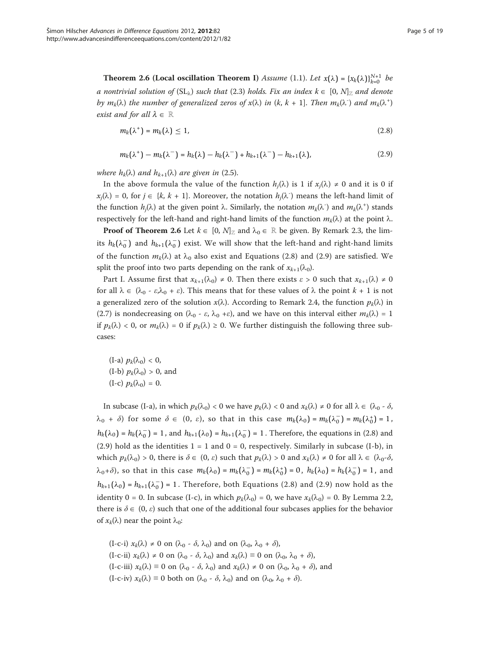**Theorem 2.6 (Local oscillation Theorem I)** Assume (1.1). Let  $x(\lambda) = \{x_k(\lambda)\}_{k=0}^{N+1}$  be a nontrivial solution of  $(SL<sub>\lambda</sub>)$  such that (2.3) holds. Fix an index  $k \in [0, N]$ <sub>Z</sub> and denote by  $m_k(\lambda)$  the number of generalized zeros of  $x(\lambda)$  in  $(k, k + 1]$ . Then  $m_k(\lambda^+)$  and  $m_k(\lambda^+)$ exist and for all  $\lambda \in \mathbb{R}$ 

$$
m_k(\lambda^+) = m_k(\lambda) \le 1, \tag{2.8}
$$

$$
m_k(\lambda^+) - m_k(\lambda^-) = h_k(\lambda) - h_k(\lambda^-) + h_{k+1}(\lambda^-) - h_{k+1}(\lambda), \qquad (2.9)
$$

where  $h_k(\lambda)$  and  $h_{k+1}(\lambda)$  are given in (2.5).

In the above formula the value of the function  $h_i(\lambda)$  is 1 if  $x_i(\lambda) \neq 0$  and it is 0 if  $x_j(\lambda) = 0$ , for  $j \in \{k, k + 1\}$ . Moreover, the notation  $h_j(\lambda)$  means the left-hand limit of the function  $h_j(\lambda)$  at the given point  $\lambda$ . Similarly, the notation  $m_k(\lambda^-)$  and  $m_k(\lambda^+)$  stands respectively for the left-hand and right-hand limits of the function  $m_k(\lambda)$  at the point  $\lambda$ .

**Proof of Theorem 2.6** Let  $k \in [0, N]_Z$  and  $\lambda_0 \in \mathbb{R}$  be given. By Remark 2.3, the limits  $h_k(\lambda_0^-)$  and  $h_{k+1}(\lambda_0^-)$  exist. We will show that the left-hand and right-hand limits of the function  $m_k(\lambda)$  at  $\lambda_0$  also exist and Equations (2.8) and (2.9) are satisfied. We split the proof into two parts depending on the rank of  $x_{k+1}(\lambda_0)$ .

Part I. Assume first that  $x_{k+1}(\lambda_0) \neq 0$ . Then there exists  $\varepsilon > 0$  such that  $x_{k+1}(\lambda) \neq 0$ for all  $\lambda \in (\lambda_0 - \varepsilon, \lambda_0 + \varepsilon)$ . This means that for these values of  $\lambda$  the point  $k + 1$  is not a generalized zero of the solution  $x(\lambda)$ . According to Remark 2.4, the function  $p_k(\lambda)$  in (2.7) is nondecreasing on  $(\lambda_0 - \varepsilon, \lambda_0 + \varepsilon)$ , and we have on this interval either  $m_k(\lambda)=1$ if  $p_k(\lambda) < 0$ , or  $m_k(\lambda) = 0$  if  $p_k(\lambda) \ge 0$ . We further distinguish the following three subcases:

 $(I-a)$   $p_k(\lambda_0) < 0$ ,  $(I-b)$   $p_k(\lambda_0) > 0$ , and  $(I-c)$   $p_k(\lambda_0) = 0$ .

In subcase (I-a), in which  $p_k(\lambda_0) < 0$  we have  $p_k(\lambda) < 0$  and  $x_k(\lambda) \neq 0$  for all  $\lambda \in (\lambda_0 - \delta,$  $\lambda_0 + \delta$  for some  $\delta \in (0, \varepsilon)$ , so that in this case  $m_k(\lambda_0) = m_k(\lambda_0^-) = m_k(\lambda_0^+) = 1$ , *h<sub>k</sub>*( $\lambda$ <sub>0</sub>) = *h<sub>k</sub>*( $\lambda$ <sub>0</sub><sup>−</sup>) = 1, and *h<sub>k+1</sub>*( $\lambda$ <sub>0</sub>) = *h<sub>k+1</sub>*( $\lambda$ <sub>0</sub><sup>−</sup>) = 1. Therefore, the equations in (2.8) and (2.9) hold as the identities  $1 = 1$  and  $0 = 0$ , respectively. Similarly in subcase (I-b), in which  $p_k(\lambda_0) > 0$ , there is  $\delta \in (0, \varepsilon)$  such that  $p_k(\lambda) > 0$  and  $x_k(\lambda) \neq 0$  for all  $\lambda \in (\lambda_0 - \delta, \varepsilon)$  $λ₀+δ$ ), so that in this case  $m_k(λ₀) = m_k(λ₀^-) = m_k(λ₀^+) = 0$ ,  $h_k(λ₀) = h_k(λ₀^-) = 1$ , and  $h_{k+1}(\lambda_0) = h_{k+1}(\lambda_0^-) = 1$ . Therefore, both Equations (2.8) and (2.9) now hold as the identity 0 = 0. In subcase (I-c), in which  $p_k(\lambda_0) = 0$ , we have  $x_k(\lambda_0) = 0$ . By Lemma 2.2, there is  $\delta \in (0, \varepsilon)$  such that one of the additional four subcases applies for the behavior of  $x_k(\lambda)$  near the point  $\lambda_0$ :

 $(I-c-i)$   $x_k(\lambda) \neq 0$  on  $(\lambda_0 - \delta, \lambda_0)$  and on  $(\lambda_0, \lambda_0 + \delta)$ ,  $(I-c-ii)$   $x_k(\lambda) \neq 0$  on  $(\lambda_0 - \delta, \lambda_0)$  and  $x_k(\lambda) \equiv 0$  on  $(\lambda_0, \lambda_0 + \delta)$ ,  $(I-c-iii)$   $x_k(\lambda) \equiv 0$  on  $(\lambda_0 - \delta, \lambda_0)$  and  $x_k(\lambda) \neq 0$  on  $(\lambda_0, \lambda_0 + \delta)$ , and (I-c-iv)  $x_k(\lambda) \equiv 0$  both on  $(\lambda_0 - \delta, \lambda_0)$  and on  $(\lambda_0, \lambda_0 + \delta)$ .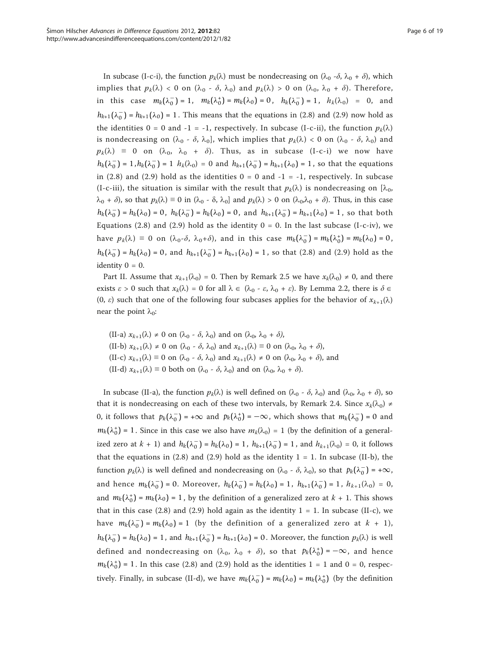In subcase (I-c-i), the function  $p_k(\lambda)$  must be nondecreasing on  $(\lambda_0, -\delta, \lambda_0 + \delta)$ , which implies that  $p_k(\lambda) < 0$  on  $(\lambda_0 - \delta, \lambda_0)$  and  $p_k(\lambda) > 0$  on  $(\lambda_0, \lambda_0 + \delta)$ . Therefore, in this case  $m_k(\lambda_0^-) = 1$ ,  $m_k(\lambda_0^+) = m_k(\lambda_0) = 0$ ,  $h_k(\lambda_0^-) = 1$ ,  $h_k(\lambda_0) = 0$ , and  $h_{k+1}(\lambda_0^-) = h_{k+1}(\lambda_0) = 1$ . This means that the equations in (2.8) and (2.9) now hold as the identities 0 = 0 and -1 = -1, respectively. In subcase (I-c-ii), the function  $p_k(\lambda)$ is nondecreasing on  $(\lambda_0 - \delta, \lambda_0]$ , which implies that  $p_k(\lambda) < 0$  on  $(\lambda_0 - \delta, \lambda_0)$  and  $p_k(\lambda) = 0$  on  $(\lambda_0, \lambda_0 + \delta)$ . Thus, as in subcase (I-c-i) we now have  $h_k(\lambda_0^-) = 1$ ,  $h_k(\lambda_0^-) = 1$   $h_k(\lambda_0) = 0$  and  $h_{k+1}(\lambda_0^-) = h_{k+1}(\lambda_0) = 1$ , so that the equations in (2.8) and (2.9) hold as the identities  $0 = 0$  and  $-1 = -1$ , respectively. In subcase (I-c-iii), the situation is similar with the result that  $p_k(\lambda)$  is nondecreasing on  $[\lambda_0, \lambda_0]$  $\lambda_0 + \delta$ , so that  $p_k(\lambda) \equiv 0$  in  $(\lambda_0 - \delta, \lambda_0]$  and  $p_k(\lambda) > 0$  on  $(\lambda_0, \lambda_0 + \delta)$ . Thus, in this case  $h_k(\lambda_0^-) = h_k(\lambda_0) = 0$ ,  $h_k(\lambda_0^-) = h_k(\lambda_0) = 0$ , and  $h_{k+1}(\lambda_0^-) = h_{k+1}(\lambda_0) = 1$ , so that both Equations (2.8) and (2.9) hold as the identity  $0 = 0$ . In the last subcase (I-c-iv), we have  $p_k(\lambda) \equiv 0$  on  $(\lambda_0 - \delta, \lambda_0 + \delta)$ , and in this case  $m_k(\lambda_0^-) = m_k(\lambda_0^+) = m_k(\lambda_0) = 0$ , *h<sub>k</sub>*( $\lambda_0^-$ ) = *h<sub>k</sub>*( $\lambda_0$ ) = 0, and *h<sub>k+1</sub>*( $\lambda_0^-$ ) = *h<sub>k+1</sub>*( $\lambda_0$ ) = 1, so that (2.8) and (2.9) hold as the identity  $0 = 0$ .

Part II. Assume that  $x_{k+1}(\lambda_0) = 0$ . Then by Remark 2.5 we have  $x_k(\lambda_0) \neq 0$ , and there exists  $\varepsilon > 0$  such that  $x_k(\lambda) = 0$  for all  $\lambda \in (\lambda_0 - \varepsilon, \lambda_0 + \varepsilon)$ . By Lemma 2.2, there is  $\delta \in$ (0,  $\varepsilon$ ) such that one of the following four subcases applies for the behavior of  $x_{k+1}(\lambda)$ near the point  $\lambda_0$ :

(II-a)  $x_{k+1}(\lambda) \neq 0$  on  $(\lambda_0 - \delta, \lambda_0)$  and on  $(\lambda_0, \lambda_0 + \delta)$ , (II-b)  $x_{k+1}(\lambda) \neq 0$  on  $(\lambda_0 - \delta, \lambda_0)$  and  $x_{k+1}(\lambda) \equiv 0$  on  $(\lambda_0, \lambda_0 + \delta)$ , (II-c)  $x_{k+1}(\lambda) \equiv 0$  on  $(\lambda_0 - \delta, \lambda_0)$  and  $x_{k+1}(\lambda) \neq 0$  on  $(\lambda_0, \lambda_0 + \delta)$ , and (II-d)  $x_{k+1}(\lambda) \equiv 0$  both on  $(\lambda_0 - \delta, \lambda_0)$  and on  $(\lambda_0, \lambda_0 + \delta)$ .

In subcase (II-a), the function  $p_k(\lambda)$  is well defined on  $(\lambda_0 - \delta, \lambda_0)$  and  $(\lambda_0, \lambda_0 + \delta)$ , so that it is nondecreasing on each of these two intervals, by Remark 2.4. Since  $x_k(\lambda_0) \neq$ 0, it follows that  $p_k(\lambda_0^-) = +\infty$  and  $p_k(\lambda_0^+) = -\infty$ , which shows that  $m_k(\lambda_0^-) = 0$  and  $m_k(\lambda_0^+) = 1$ . Since in this case we also have  $m_k(\lambda_0) = 1$  (by the definition of a generalized zero at  $k + 1$ ) and  $h_k(\lambda_0^-) = h_k(\lambda_0) = 1$ ,  $h_{k+1}(\lambda_0^-) = 1$ , and  $h_{k+1}(\lambda_0) = 0$ , it follows that the equations in (2.8) and (2.9) hold as the identity  $1 = 1$ . In subcase (II-b), the function  $p_k(\lambda)$  is well defined and nondecreasing on  $(\lambda_0 - \delta, \lambda_0)$ , so that  $p_k(\lambda_0^-) = +\infty$ , and hence  $m_k(\lambda_0^-) = 0$ . Moreover,  $h_k(\lambda_0^-) = h_k(\lambda_0) = 1$ ,  $h_{k+1}(\lambda_0^-) = 1$ ,  $h_{k+1}(\lambda_0) = 0$ , and  $m_k(\lambda_0^+) = m_k(\lambda_0) = 1$ , by the definition of a generalized zero at  $k + 1$ . This shows that in this case  $(2.8)$  and  $(2.9)$  hold again as the identity  $1 = 1$ . In subcase (II-c), we have  $m_k(\lambda_0^-) = m_k(\lambda_0) = 1$  (by the definition of a generalized zero at  $k + 1$ ),  $h_k(\lambda_0^-) = h_k(\lambda_0) = 1$ , and  $h_{k+1}(\lambda_0^-) = h_{k+1}(\lambda_0) = 0$ . Moreover, the function  $p_k(\lambda)$  is well defined and nondecreasing on  $(\lambda_0, \lambda_0 + \delta)$ , so that  $p_k(\lambda_0^+) = -\infty$ , and hence  $m_k(\lambda_0^+) = 1$ . In this case (2.8) and (2.9) hold as the identities  $1 = 1$  and  $0 = 0$ , respectively. Finally, in subcase (II-d), we have  $m_k(\lambda_0^-) = m_k(\lambda_0) = m_k(\lambda_0^+)$  (by the definition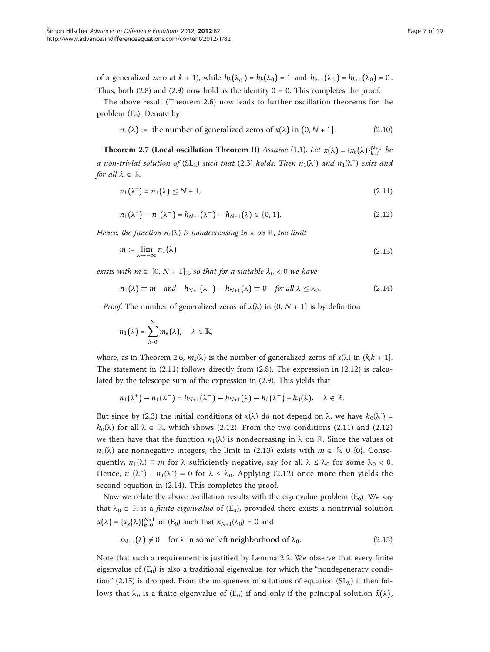of a generalized zero at  $k + 1$ ), while  $h_k(\lambda_0^-) = h_k(\lambda_0) = 1$  and  $h_{k+1}(\lambda_0^-) = h_{k+1}(\lambda_0) = 0$ . Thus, both (2.8) and (2.9) now hold as the identity  $0 = 0$ . This completes the proof.

The above result (Theorem 2.6) now leads to further oscillation theorems for the problem  $(E_0)$ . Denote by

$$
n_1(\lambda) :=
$$
 the number of generalized zeros of  $x(\lambda)$  in  $(0, N + 1]$ . (2.10)

**Theorem 2.7 (Local oscillation Theorem II)** Assume (1.1). Let  $x(\lambda) = \{x_k(\lambda)\}_{k=0}^{N+1}$  be a non-trivial solution of  $(\mathrm{SL}_\lambda)$  such that (2.3) holds. Then  $n_1(\lambda^\text{-})$  and  $n_1(\lambda^+)$  exist and for all  $\lambda \in \mathbb{R}$ 

$$
n_1(\lambda^+) = n_1(\lambda) \le N + 1,\tag{2.11}
$$

$$
n_1(\lambda^+) - n_1(\lambda^-) = h_{N+1}(\lambda^-) - h_{N+1}(\lambda) \in \{0, 1\}.
$$
 (2.12)

Hence, the function  $n_1(\lambda)$  is nondecreasing in  $\lambda$  on ℝ, the limit

$$
m := \lim_{\lambda \to -\infty} n_1(\lambda) \tag{2.13}
$$

exists with  $m \in [0, N + 1]_Z$ , so that for a suitable  $\lambda_0 < 0$  we have

$$
n_1(\lambda) \equiv m \quad \text{and} \quad h_{N+1}(\lambda^-) - h_{N+1}(\lambda) \equiv 0 \quad \text{for all } \lambda \le \lambda_0. \tag{2.14}
$$

*Proof.* The number of generalized zeros of  $x(\lambda)$  in  $(0, N + 1]$  is by definition

$$
n_1(\lambda)=\sum_{k=0}^Nm_k(\lambda),\quad \lambda\in\mathbb{R},
$$

where, as in Theorem 2.6,  $m_k(\lambda)$  is the number of generalized zeros of  $x(\lambda)$  in  $(k, k + 1]$ . The statement in (2.11) follows directly from (2.8). The expression in (2.12) is calculated by the telescope sum of the expression in (2.9). This yields that

$$
n_1(\lambda^+) - n_1(\lambda^-) = h_{N+1}(\lambda^-) - h_{N+1}(\lambda) - h_0(\lambda^-) + h_0(\lambda), \quad \lambda \in \mathbb{R}.
$$

But since by (2.3) the initial conditions of  $x(\lambda)$  do not depend on  $\lambda$ , we have  $h_0(\lambda^-)$  =  $h_0(\lambda)$  for all  $\lambda \in \mathbb{R}$ , which shows (2.12). From the two conditions (2.11) and (2.12) we then have that the function  $n_1(\lambda)$  is nondecreasing in  $\lambda$  on ℝ. Since the values of  $n_1(\lambda)$  are nonnegative integers, the limit in (2.13) exists with  $m \in \mathbb{N} \cup \{0\}$ . Consequently,  $n_1(\lambda) \equiv m$  for  $\lambda$  sufficiently negative, say for all  $\lambda \leq \lambda_0$  for some  $\lambda_0 < 0$ . Hence,  $n_1(\lambda^+)$  -  $n_1(\lambda^-) \equiv 0$  for  $\lambda \leq \lambda_0$ . Applying (2.12) once more then yields the second equation in (2.14). This completes the proof.

Now we relate the above oscillation results with the eigenvalue problem  $(E_0)$ . We say that  $\lambda_0 \in \mathbb{R}$  is a *finite eigenvalue* of (E<sub>0</sub>), provided there exists a nontrivial solution  $x(\lambda) = \{x_k(\lambda)\}_{k=0}^{N+1}$  of (E<sub>0</sub>) such that  $x_{N+1}(\lambda_0) = 0$  and

$$
x_{N+1}(\lambda) \neq 0 \quad \text{for } \lambda \text{ in some left neighborhood of } \lambda_0. \tag{2.15}
$$

Note that such a requirement is justified by Lemma 2.2. We observe that every finite eigenvalue of  $(E_0)$  is also a traditional eigenvalue, for which the "nondegeneracy condition" (2.15) is dropped. From the uniqueness of solutions of equation ( $SL_{\lambda}$ ) it then follows that  $\lambda_0$  is a finite eigenvalue of (E<sub>0</sub>) if and only if the principal solution  $\hat{x}(\lambda)$ ,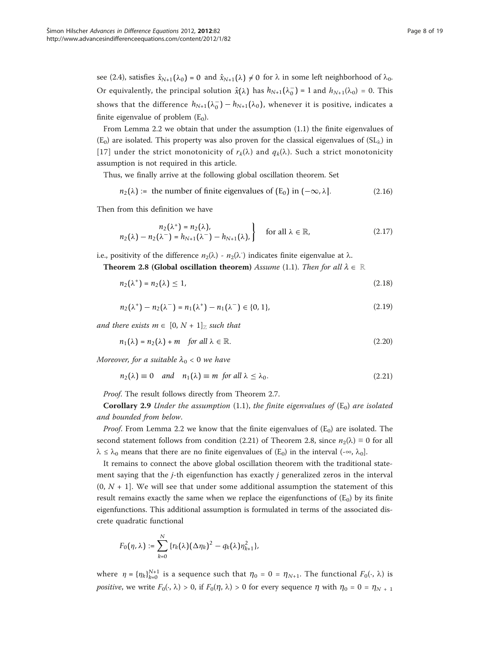see (2.4), satisfies  $\hat{x}_{N+1}(\lambda_0)=0$  and  $\hat{x}_{N+1}(\lambda) \neq 0$  for  $\lambda$  in some left neighborhood of  $\lambda_0$ . Or equivalently, the principal solution  $\hat{x}(\lambda)$  has  $h_{N+1}(\lambda_0^-) = 1$  and  $h_{N+1}(\lambda_0) = 0$ . This shows that the difference  $h_{N+1}(\lambda_0^-) - h_{N+1}(\lambda_0)$ , whenever it is positive, indicates a finite eigenvalue of problem  $(E_0)$ .

From Lemma 2.2 we obtain that under the assumption (1.1) the finite eigenvalues of  $(E_0)$  are isolated. This property was also proven for the classical eigenvalues of  $(SL_\lambda)$  in [[17\]](#page-18-0) under the strict monotonicity of  $r_k(\lambda)$  and  $q_k(\lambda)$ . Such a strict monotonicity assumption is not required in this article.

Thus, we finally arrive at the following global oscillation theorem. Set

$$
n_2(\lambda) := \text{ the number of finite eigenvalues of } (E_0) \text{ in } (-\infty, \lambda]. \tag{2.16}
$$

Then from this definition we have

$$
\begin{aligned}\nn_2(\lambda^+) &= n_2(\lambda), \\
n_2(\lambda) - n_2(\lambda^-) &= h_{N+1}(\lambda^-) - h_{N+1}(\lambda),\n\end{aligned}\n\quad \text{for all } \lambda \in \mathbb{R},\n\tag{2.17}
$$

i.e., positivity of the difference  $n_2(\lambda)$  -  $n_2(\lambda)$  indicates finite eigenvalue at  $\lambda$ .

Theorem 2.8 (Global oscillation theorem) Assume (1.1). Then for all  $\lambda \in \mathbb{R}$ 

$$
n_2(\lambda^+) = n_2(\lambda) \le 1,\tag{2.18}
$$

$$
n_2(\lambda^+) - n_2(\lambda^-) = n_1(\lambda^+) - n_1(\lambda^-) \in \{0, 1\},\tag{2.19}
$$

and there exists  $m \in [0, N + 1]_Z$  such that

$$
n_1(\lambda) = n_2(\lambda) + m \quad \text{for all } \lambda \in \mathbb{R}.
$$
 (2.20)

Moreover, for a suitable  $\lambda_0 < 0$  we have

$$
n_2(\lambda) \equiv 0 \quad \text{and} \quad n_1(\lambda) \equiv m \text{ for all } \lambda \le \lambda_0. \tag{2.21}
$$

Proof. The result follows directly from Theorem 2.7.

**Corollary 2.9** Under the assumption (1.1), the finite eigenvalues of  $(E_0)$  are isolated and bounded from below.

*Proof.* From Lemma 2.2 we know that the finite eigenvalues of  $(E_0)$  are isolated. The second statement follows from condition (2.21) of Theorem 2.8, since  $n_2(\lambda) \equiv 0$  for all  $\lambda \leq \lambda_0$  means that there are no finite eigenvalues of (E<sub>0</sub>) in the interval (-∞,  $\lambda_0$ ].

It remains to connect the above global oscillation theorem with the traditional statement saying that the  $j$ -th eigenfunction has exactly  $j$  generalized zeros in the interval  $(0, N + 1]$ . We will see that under some additional assumption the statement of this result remains exactly the same when we replace the eigenfunctions of  $(E_0)$  by its finite eigenfunctions. This additional assumption is formulated in terms of the associated discrete quadratic functional

$$
F_0(\eta,\lambda):=\sum_{k=0}^N\{r_k(\lambda)(\Delta\eta_k)^2-q_k(\lambda)\eta_{k+1}^2\},\,
$$

where  $\eta = {\eta_h}_{k=0}^{N+1}$  is a sequence such that  $\eta_0 = 0 = \eta_{N+1}$ . The functional  $F_0(\cdot, \lambda)$  is *positive*, we write  $F_0(\cdot, \lambda) > 0$ , if  $F_0(\eta, \lambda) > 0$  for every sequence  $\eta$  with  $\eta_0 = 0 = \eta_{N+1}$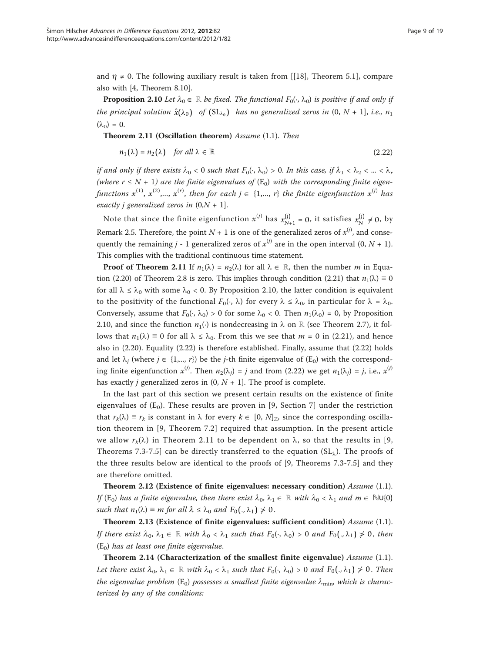and  $\eta \neq 0$ . The following auxiliary result is taken from [[[18\]](#page-18-0), Theorem 5.1], compare also with [4, Theorem 8.10].

**Proposition 2.10** Let  $\lambda_0 \in \mathbb{R}$  be fixed. The functional  $F_0(\cdot, \lambda_0)$  is positive if and only if the principal solution  $\hat{x}(\lambda_0)$  of  $(SL_{\lambda_0})$  has no generalized zeros in  $(0, N + 1]$ , i.e.,  $n_1$  $(\lambda_0) = 0.$ 

Theorem 2.11 (Oscillation theorem) Assume (1.1). Then

$$
n_1(\lambda) = n_2(\lambda) \quad \text{for all } \lambda \in \mathbb{R} \tag{2.22}
$$

if and only if there exists  $\lambda_0 < 0$  such that  $F_0(\cdot, \lambda_0) > 0$ . In this case, if  $\lambda_1 < \lambda_2 < ... < \lambda_r$ (where  $r \leq N + 1$ ) are the finite eigenvalues of  $(E_0)$  with the corresponding finite eigenfunctions  $x^{(1)},$   $x^{(2)},$  ...,  $x^{(r)},$  then for each  $j \in~\{1,...,r\}$  the finite eigenfunction  $x^{(j)}$  has exactly *j* generalized zeros in  $(0, N + 1]$ .

Note that since the finite eigenfunction  $x^{(j)}$  has  $x^{(j)}_{N+1} = 0$ , it satisfies  $x^{(j)}_N \neq 0$ , by Remark 2.5. Therefore, the point  $N + 1$  is one of the generalized zeros of  $x^{(j)}$ , and consequently the remaining j - 1 generalized zeros of  $x^{(j)}$  are in the open interval  $(0, N + 1)$ . This complies with the traditional continuous time statement.

**Proof of Theorem 2.11** If  $n_1(\lambda) = n_2(\lambda)$  for all  $\lambda \in \mathbb{R}$ , then the number m in Equation (2.20) of Theorem 2.8 is zero. This implies through condition (2.21) that  $n_1(\lambda) \equiv 0$ for all  $\lambda \leq \lambda_0$  with some  $\lambda_0 < 0$ . By Proposition 2.10, the latter condition is equivalent to the positivity of the functional  $F_0(\cdot, \lambda)$  for every  $\lambda \leq \lambda_0$ , in particular for  $\lambda = \lambda_0$ . Conversely, assume that  $F_0(\cdot, \lambda_0) > 0$  for some  $\lambda_0 < 0$ . Then  $n_1(\lambda_0) = 0$ , by Proposition 2.10, and since the function  $n_1(\cdot)$  is nondecreasing in  $\lambda$  on ℝ (see Theorem 2.7), it follows that  $n_1(\lambda) \equiv 0$  for all  $\lambda \leq \lambda_0$ . From this we see that  $m = 0$  in (2.21), and hence also in (2.20). Equality (2.22) is therefore established. Finally, assume that (2.22) holds and let  $\lambda_i$  (where  $j \in \{1,..., r\}$ ) be the j-th finite eigenvalue of (E<sub>0</sub>) with the corresponding finite eigenfunction  $x^{(j)}$ . Then  $n_2(\lambda_j) = j$  and from (2.22) we get  $n_1(\lambda_j) = j$ , i.e.,  $x^{(j)}$ has exactly *j* generalized zeros in  $(0, N + 1]$ . The proof is complete.

In the last part of this section we present certain results on the existence of finite eigenvalues of  $(E_0)$ . These results are proven in [9, Section 7] under the restriction that  $r_k(\lambda) \equiv r_k$  is constant in  $\lambda$  for every  $k \in [0, N]_Z$ , since the corresponding oscillation theorem in [9, Theorem 7.2] required that assumption. In the present article we allow  $r_k(\lambda)$  in Theorem 2.11 to be dependent on  $\lambda$ , so that the results in [9, Theorems 7.3-7.5] can be directly transferred to the equation ( $SL_{\lambda}$ ). The proofs of the three results below are identical to the proofs of [9, Theorems 7.3-7.5] and they are therefore omitted.

Theorem 2.12 (Existence of finite eigenvalues: necessary condition) Assume (1.1). If (E<sub>0</sub>) has a finite eigenvalue, then there exist  $\lambda_0$ ,  $\lambda_1 \in \mathbb{R}$  with  $\lambda_0 < \lambda_1$  and  $m \in \mathbb{N}\cup\{0\}$ such that  $n_1(\lambda) \equiv m$  for all  $\lambda \leq \lambda_0$  and  $F_0(., \lambda_1) \neq 0$ .

Theorem 2.13 (Existence of finite eigenvalues: sufficient condition) Assume (1.1). If there exist  $\lambda_0, \lambda_1 \in \mathbb{R}$  with  $\lambda_0 < \lambda_1$  such that  $F_0(\cdot, \lambda_0) > 0$  and  $F_0(\cdot, \lambda_1) \neq 0$ , then  $(E_0)$  has at least one finite eigenvalue.

Theorem 2.14 (Characterization of the smallest finite eigenvalue) Assume (1.1). Let there exist  $\lambda_0, \lambda_1 \in \mathbb{R}$  with  $\lambda_0 < \lambda_1$  such that  $F_0(\cdot, \lambda_0) > 0$  and  $F_0(\cdot, \lambda_1) \neq 0$ . Then the eigenvalue problem ( $E_0$ ) possesses a smallest finite eigenvalue  $\lambda_{\min}$ , which is characterized by any of the conditions: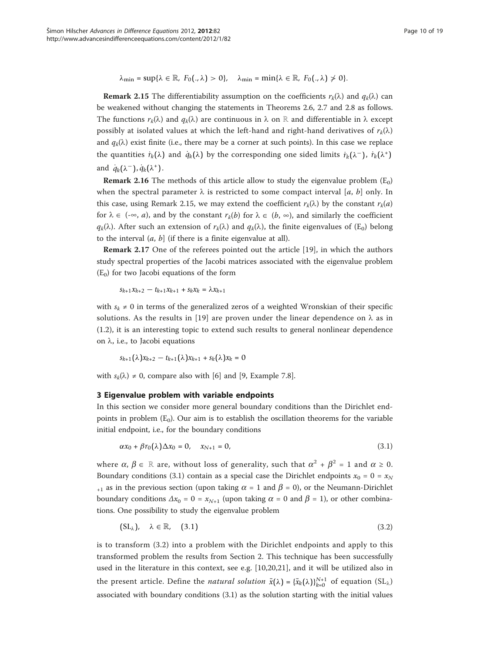$\lambda_{\min} = \sup \{ \lambda \in \mathbb{R}, F_0(., \lambda) > 0 \}, \quad \lambda_{\min} = \min \{ \lambda \in \mathbb{R}, F_0(., \lambda) \neq 0 \}.$ 

**Remark 2.15** The differentiability assumption on the coefficients  $r_k(\lambda)$  and  $q_k(\lambda)$  can be weakened without changing the statements in Theorems 2.6, 2.7 and 2.8 as follows. The functions  $r_k(\lambda)$  and  $q_k(\lambda)$  are continuous in  $\lambda$  on ℝ and differentiable in  $\lambda$  except possibly at isolated values at which the left-hand and right-hand derivatives of  $r_k(\lambda)$ and  $q_k(\lambda)$  exist finite (i.e., there may be a corner at such points). In this case we replace the quantities  $\dot{r}_k(\lambda)$  and  $\dot{q}_k(\lambda)$  by the corresponding one sided limits  $\dot{r}_k(\lambda^-)$ ,  $\dot{r}_k(\lambda^+)$ and  $\dot{q}_k(\lambda^-), \dot{q}_k(\lambda^+)$ .

**Remark 2.16** The methods of this article allow to study the eigenvalue problem  $(E_0)$ when the spectral parameter  $\lambda$  is restricted to some compact interval [a, b] only. In this case, using Remark 2.15, we may extend the coefficient  $r_k(\lambda)$  by the constant  $r_k(a)$ for  $\lambda \in (-\infty, a)$ , and by the constant  $r_k(b)$  for  $\lambda \in (b, \infty)$ , and similarly the coefficient  $q_k(\lambda)$ . After such an extension of  $r_k(\lambda)$  and  $q_k(\lambda)$ , the finite eigenvalues of (E<sub>0</sub>) belong to the interval  $(a, b)$  (if there is a finite eigenvalue at all).

Remark 2.17 One of the referees pointed out the article [\[19](#page-18-0)], in which the authors study spectral properties of the Jacobi matrices associated with the eigenvalue problem  $(E_0)$  for two Jacobi equations of the form

$$
s_{k+1}x_{k+2}-t_{k+1}x_{k+1}+s_kx_k=\lambda x_{k+1}
$$

with  $s_k \neq 0$  in terms of the generalized zeros of a weighted Wronskian of their specific solutions. As the results in [\[19\]](#page-18-0) are proven under the linear dependence on  $\lambda$  as in (1.2), it is an interesting topic to extend such results to general nonlinear dependence on  $\lambda$ , i.e., to Jacobi equations

$$
s_{k+1}(\lambda)x_{k+2}-t_{k+1}(\lambda)x_{k+1}+s_k(\lambda)x_k=0
$$

with  $s_k(\lambda) \neq 0$ , compare also with [\[6](#page-18-0)] and [9, Example 7.8].

## 3 Eigenvalue problem with variable endpoints

In this section we consider more general boundary conditions than the Dirichlet endpoints in problem  $(E_0)$ . Our aim is to establish the oscillation theorems for the variable initial endpoint, i.e., for the boundary conditions

$$
\alpha x_0 + \beta r_0(\lambda) \Delta x_0 = 0, \quad x_{N+1} = 0,
$$
\n
$$
(3.1)
$$

where  $\alpha$ ,  $\beta \in \mathbb{R}$  are, without loss of generality, such that  $\alpha^2 + \beta^2 = 1$  and  $\alpha \ge 0$ . Boundary conditions (3.1) contain as a special case the Dirichlet endpoints  $x_0 = 0 = x_N$  $_{+1}$  as in the previous section (upon taking  $\alpha = 1$  and  $\beta = 0$ ), or the Neumann-Dirichlet boundary conditions  $\Delta x_0 = 0 = x_{N+1}$  (upon taking  $\alpha = 0$  and  $\beta = 1$ ), or other combinations. One possibility to study the eigenvalue problem

$$
(SL_{\lambda}) , \quad \lambda \in \mathbb{R}, \quad (3.1)
$$

is to transform (3.2) into a problem with the Dirichlet endpoints and apply to this transformed problem the results from Section 2. This technique has been successfully used in the literature in this context, see e.g. [\[10,20](#page-18-0),[21\]](#page-18-0), and it will be utilized also in the present article. Define the *natural solution*  $\bar{x}(\lambda) = {\{\bar{x}_k(\lambda)\}}_{k=0}^{N+1}$  of equation  $(S_{\lambda})$ associated with boundary conditions (3.1) as the solution starting with the initial values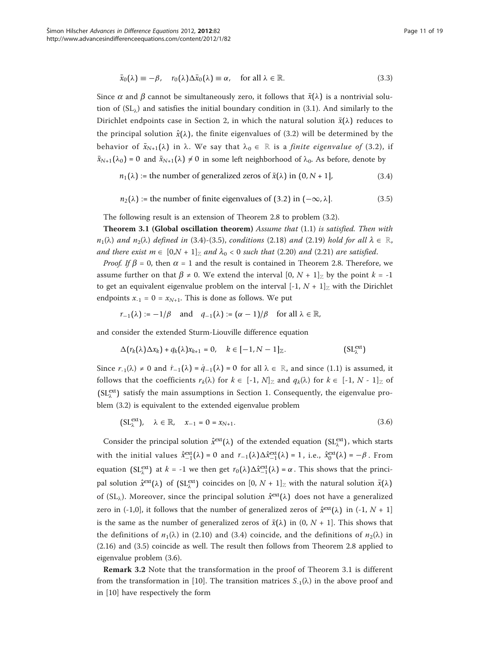$$
\bar{x}_0(\lambda) \equiv -\beta, \quad r_0(\lambda)\Delta\bar{x}_0(\lambda) \equiv \alpha, \quad \text{for all } \lambda \in \mathbb{R}.
$$

Since  $\alpha$  and  $\beta$  cannot be simultaneously zero, it follows that  $\bar{x}(\lambda)$  is a nontrivial solution of  $(SL<sub>\lambda</sub>)$  and satisfies the initial boundary condition in (3.1). And similarly to the Dirichlet endpoints case in Section 2, in which the natural solution  $\bar{x}(\lambda)$  reduces to the principal solution  $\hat{x}(\lambda)$ , the finite eigenvalues of (3.2) will be determined by the behavior of  $\bar{x}_{N+1}(\lambda)$  in  $\lambda$ . We say that  $\lambda_0 \in \mathbb{R}$  is a *finite eigenvalue of* (3.2), if  $\bar{x}_{N+1}(\lambda_0)=0$  and  $\bar{x}_{N+1}(\lambda) \neq 0$  in some left neighborhood of  $\lambda_0$ . As before, denote by

- $n_1(\lambda)$  := the number of generalized zeros of  $\bar{x}(\lambda)$  in  $(0, N + 1]$ , (3.4)
- $n_2(\lambda)$  := the number of finite eigenvalues of (3.2) in ( $-\infty$ ,  $\lambda$ ]. (3.5)

The following result is an extension of Theorem 2.8 to problem (3.2).

**Theorem 3.1 (Global oscillation theorem)** Assume that  $(1.1)$  is satisfied. Then with  $n_1(\lambda)$  and  $n_2(\lambda)$  defined in (3.4)-(3.5), conditions (2.18) and (2.19) hold for all  $\lambda \in \mathbb{R}$ , and there exist  $m \in [0,N + 1]_{{\mathbb{Z}}}$  and  $\lambda_0 < 0$  such that (2.20) and (2.21) are satisfied.

*Proof. If*  $\beta = 0$ , then  $\alpha = 1$  and the result is contained in Theorem 2.8. Therefore, we assume further on that  $\beta \neq 0$ . We extend the interval [0,  $N + 1$ ]<sub>Z</sub> by the point  $k = -1$ to get an equivalent eigenvalue problem on the interval [-1,  $N + 1$ ]<sub>Z</sub> with the Dirichlet endpoints  $x_{-1} = 0 = x_{N+1}$ . This is done as follows. We put

$$
r_{-1}(\lambda) := -1/\beta
$$
 and  $q_{-1}(\lambda) := (\alpha - 1)/\beta$  for all  $\lambda \in \mathbb{R}$ ,

and consider the extended Sturm-Liouville difference equation

$$
\Delta(r_k(\lambda)\Delta x_k)+q_k(\lambda)x_{k+1}=0, \quad k\in[-1,N-1]_{{\mathbb Z}}.\tag{S L}^{\text{ext}}_{\lambda}
$$

Since  $r_{-1}(\lambda) \neq 0$  and  $\dot{r}_{-1}(\lambda) = \dot{q}_{-1}(\lambda) = 0$  for all  $\lambda \in \mathbb{R}$ , and since (1.1) is assumed, it follows that the coefficients  $r_k(\lambda)$  for  $k \in [-1, N]_{\mathbb{Z}}$  and  $q_k(\lambda)$  for  $k \in [-1, N - 1]_{\mathbb{Z}}$  of  $(SL_{\lambda}^{ext})$  satisfy the main assumptions in Section 1. Consequently, the eigenvalue problem (3.2) is equivalent to the extended eigenvalue problem

$$
\left(SL_{\lambda}^{\text{ext}}\right), \quad \lambda \in \mathbb{R}, \quad x_{-1} = 0 = x_{N+1}.\tag{3.6}
$$

Consider the principal solution  $\hat{x}^{\text{ext}}(\lambda)$  of the extended equation (SL<sub> $^{\text{ext}}_{\lambda}$ </sub>), which starts with the initial values  $\hat{x}_{-1}^{\text{ext}}(\lambda) = 0$  and  $r_{-1}(\lambda)\Delta \hat{x}_{-1}^{\text{ext}}(\lambda) = 1$ , i.e.,  $\hat{x}_0^{\text{ext}}(\lambda) = -\beta$ . From equation (SL<sup>ext</sup>) at  $k = -1$  we then get  $r_0(\lambda) \Delta \hat{x}_{-1}^{\text{ext}}(\lambda) = \alpha$ . This shows that the principal solution  $\hat{x}^{\text{ext}}(\lambda)$  of  $(SL_{\lambda}^{\text{ext}})$  coincides on  $[0, N + 1]_{{\mathbb{Z}}}$  with the natural solution  $\bar{x}(\lambda)$ of  $(SL_{\lambda})$ . Moreover, since the principal solution  $\hat{x}^{\text{ext}}(\lambda)$  does not have a generalized zero in (-1,0], it follows that the number of generalized zeros of  $\hat{x}^{\text{ext}}(\lambda)$  in (-1, N + 1] is the same as the number of generalized zeros of  $\bar{x}(\lambda)$  in  $(0, N + 1]$ . This shows that the definitions of  $n_1(\lambda)$  in (2.10) and (3.4) coincide, and the definitions of  $n_2(\lambda)$  in (2.16) and (3.5) coincide as well. The result then follows from Theorem 2.8 applied to eigenvalue problem (3.6).

Remark 3.2 Note that the transformation in the proof of Theorem 3.1 is different from the transformation in [[10](#page-18-0)]. The transition matrices  $S_{-1}(\lambda)$  in the above proof and in [[10\]](#page-18-0) have respectively the form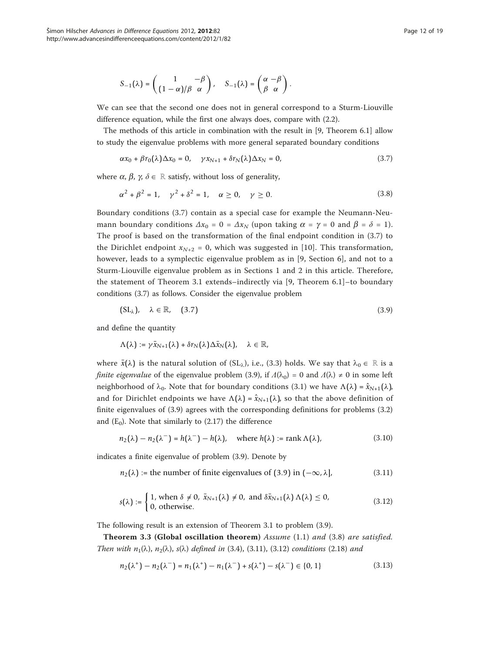$$
S_{-1}(\lambda) = \begin{pmatrix} 1 & -\beta \\ (1-\alpha)/\beta & \alpha \end{pmatrix}, \quad S_{-1}(\lambda) = \begin{pmatrix} \alpha & -\beta \\ \beta & \alpha \end{pmatrix}.
$$

We can see that the second one does not in general correspond to a Sturm-Liouville difference equation, while the first one always does, compare with (2.2).

The methods of this article in combination with the result in [9, Theorem 6.1] allow to study the eigenvalue problems with more general separated boundary conditions

$$
\alpha x_0 + \beta r_0(\lambda) \Delta x_0 = 0, \quad \gamma x_{N+1} + \delta r_N(\lambda) \Delta x_N = 0,
$$
\n(3.7)

where  $\alpha$ ,  $\beta$ ,  $\gamma$ ,  $\delta \in \mathbb{R}$  satisfy, without loss of generality,

$$
\alpha^2 + \beta^2 = 1, \quad \gamma^2 + \delta^2 = 1, \quad \alpha \ge 0, \quad \gamma \ge 0.
$$
 (3.8)

Boundary conditions (3.7) contain as a special case for example the Neumann-Neumann boundary conditions  $\Delta x_0 = 0 = \Delta x_N$  (upon taking  $\alpha = \gamma = 0$  and  $\beta = \delta = 1$ ). The proof is based on the transformation of the final endpoint condition in (3.7) to the Dirichlet endpoint  $x_{N+2} = 0$ , which was suggested in [[10\]](#page-18-0). This transformation, however, leads to a symplectic eigenvalue problem as in [9, Section 6], and not to a Sturm-Liouville eigenvalue problem as in Sections 1 and 2 in this article. Therefore, the statement of Theorem 3.1 extends–indirectly via [9, Theorem 6.1]–to boundary conditions (3.7) as follows. Consider the eigenvalue problem

$$
(SL_{\lambda}) , \quad \lambda \in \mathbb{R}, \quad (3.7)
$$

and define the quantity

$$
\Lambda\big(\lambda\big):=\gamma\bar{x}_{N+1}\big(\lambda\big)+\delta r_N\big(\lambda\big)\Delta\bar{x}_N\big(\lambda\big),\quad \lambda\in\mathbb{R},
$$

where  $\bar{x}(\lambda)$  is the natural solution of (SL<sub> $\lambda$ </sub>), i.e., (3.3) holds. We say that  $\lambda_0 \in \mathbb{R}$  is a *finite eigenvalue* of the eigenvalue problem (3.9), if  $\Lambda(\lambda_0) = 0$  and  $\Lambda(\lambda) \neq 0$  in some left neighborhood of  $\lambda_0$ . Note that for boundary conditions (3.1) we have  $\Lambda(\lambda) = \hat{x}_{N+1}(\lambda)$ , and for Dirichlet endpoints we have  $\Lambda(\lambda) = \hat{x}_{N+1}(\lambda)$ , so that the above definition of finite eigenvalues of (3.9) agrees with the corresponding definitions for problems (3.2) and  $(E_0)$ . Note that similarly to  $(2.17)$  the difference

$$
n_2(\lambda) - n_2(\lambda^-) = h(\lambda^-) - h(\lambda), \quad \text{where } h(\lambda) := \text{rank }\Lambda(\lambda), \tag{3.10}
$$

indicates a finite eigenvalue of problem (3.9). Denote by

 $n_2(\lambda)$  := the number of finite eigenvalues of (3.9) in  $(-\infty, \lambda]$ , (3.11)

$$
s(\lambda) := \begin{cases} 1, & \text{when } \delta \neq 0, \ \bar{x}_{N+1}(\lambda) \neq 0, \text{ and } \delta \bar{x}_{N+1}(\lambda) \land (\lambda) \leq 0, \\ 0, & \text{otherwise.} \end{cases} \tag{3.12}
$$

The following result is an extension of Theorem 3.1 to problem (3.9).

Theorem 3.3 (Global oscillation theorem) Assume (1.1) and (3.8) are satisfied. Then with  $n_1(\lambda)$ ,  $n_2(\lambda)$ ,  $s(\lambda)$  defined in (3.4), (3.11), (3.12) conditions (2.18) and

$$
n_2(\lambda^+) - n_2(\lambda^-) = n_1(\lambda^+) - n_1(\lambda^-) + s(\lambda^+) - s(\lambda^-) \in \{0, 1\}
$$
\n(3.13)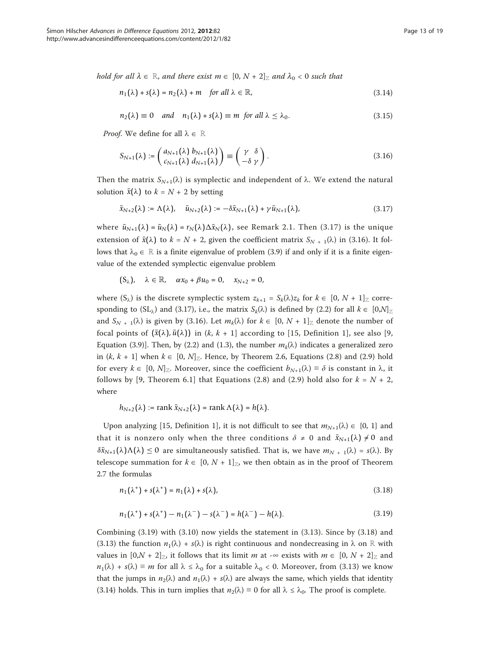hold for all  $\lambda \in \mathbb{R}$ , and there exist  $m \in [0, N + 2]$ <sub>Z</sub> and  $\lambda_0 < 0$  such that

$$
n_1(\lambda) + s(\lambda) = n_2(\lambda) + m \quad \text{for all } \lambda \in \mathbb{R}, \tag{3.14}
$$

$$
n_2(\lambda) \equiv 0 \quad \text{and} \quad n_1(\lambda) + s(\lambda) \equiv m \text{ for all } \lambda \le \lambda_0. \tag{3.15}
$$

*Proof.* We define for all  $\lambda \in \mathbb{R}$ 

$$
S_{N+1}(\lambda) := \begin{pmatrix} a_{N+1}(\lambda) & b_{N+1}(\lambda) \\ c_{N+1}(\lambda) & d_{N+1}(\lambda) \end{pmatrix} \equiv \begin{pmatrix} \gamma & \delta \\ -\delta & \gamma \end{pmatrix}.
$$
 (3.16)

Then the matrix  $S_{N+1}(\lambda)$  is symplectic and independent of  $\lambda$ . We extend the natural solution  $\bar{x}(\lambda)$  to  $k = N + 2$  by setting

$$
\bar{x}_{N+2}(\lambda) := \Lambda(\lambda), \quad \bar{u}_{N+2}(\lambda) := -\delta \bar{x}_{N+1}(\lambda) + \gamma \bar{u}_{N+1}(\lambda), \tag{3.17}
$$

where  $\bar{u}_{N+1}(\lambda) = \bar{u}_N(\lambda) = r_N(\lambda) \Delta \bar{x}_N(\lambda)$ , see Remark 2.1. Then (3.17) is the unique extension of  $\bar{x}(\lambda)$  to  $k = N + 2$ , given the coefficient matrix  $S_{N+1}(\lambda)$  in (3.16). It follows that  $\lambda_0 \in \mathbb{R}$  is a finite eigenvalue of problem (3.9) if and only if it is a finite eigenvalue of the extended symplectic eigenvalue problem

$$
(S_\lambda),\quad \lambda\in\mathbb{R},\quad \alpha x_0+\beta u_0=0,\quad x_{N+2}=0,
$$

where  $(S_{\lambda})$  is the discrete symplectic system  $z_{k+1} = S_k(\lambda)z_k$  for  $k \in [0, N + 1]_Z$  corresponding to  $(SL<sub>\lambda</sub>)$  and (3.17), i.e., the matrix  $S_k(\lambda)$  is defined by (2.2) for all  $k \in [0,N]_{\mathbb{Z}}$ and  $S_{N+1}(\lambda)$  is given by (3.16). Let  $m_k(\lambda)$  for  $k \in [0, N+1]_Z$  denote the number of focal points of  $(\bar{x}(\lambda), \bar{u}(\lambda))$  in  $(k, k + 1]$  according to [15, Definition 1], see also [9, Equation (3.9)]. Then, by (2.2) and (1.3), the number  $m_k(\lambda)$  indicates a generalized zero in  $(k, k + 1]$  when  $k \in [0, N]_Z$ . Hence, by Theorem 2.6, Equations (2.8) and (2.9) hold for every  $k \in [0, N]_Z$ . Moreover, since the coefficient  $b_{N+1}(\lambda) = \delta$  is constant in  $\lambda$ , it follows by [9, Theorem 6.1] that Equations (2.8) and (2.9) hold also for  $k = N + 2$ , where

 $h_{N+2}(\lambda) := \text{rank } \bar{x}_{N+2}(\lambda) = \text{rank } \Lambda(\lambda) = h(\lambda).$ 

Upon analyzing [15, Definition 1], it is not difficult to see that  $m_{N+1}(\lambda) \in \{0, 1\}$  and that it is nonzero only when the three conditions  $\delta \neq 0$  and  $\bar{x}_{N+1}(\lambda) \neq 0$  and  $\delta \bar{x}_{N+1}(\lambda) \Lambda(\lambda) \leq 0$  are simultaneously satisfied. That is, we have  $m_{N+1}(\lambda) = s(\lambda)$ . By telescope summation for  $k \in [0, N + 1]$ <sub>Z</sub>, we then obtain as in the proof of Theorem 2.7 the formulas

$$
n_1(\lambda^+) + s(\lambda^+) = n_1(\lambda) + s(\lambda), \qquad (3.18)
$$

$$
n_1(\lambda^+) + s(\lambda^+) - n_1(\lambda^-) - s(\lambda^-) = h(\lambda^-) - h(\lambda). \tag{3.19}
$$

Combining (3.19) with (3.10) now yields the statement in (3.13). Since by (3.18) and (3.13) the function  $n_1(\lambda) + s(\lambda)$  is right continuous and nondecreasing in  $\lambda$  on ℝ with values in  $[0,N+2]_Z$ , it follows that its limit m at -∞ exists with  $m \in [0, N+2]_Z$  and  $n_1(\lambda) + s(\lambda) \equiv m$  for all  $\lambda \leq \lambda_0$  for a suitable  $\lambda_0 < 0$ . Moreover, from (3.13) we know that the jumps in  $n_2(\lambda)$  and  $n_1(\lambda) + s(\lambda)$  are always the same, which yields that identity (3.14) holds. This in turn implies that  $n_2(\lambda) \equiv 0$  for all  $\lambda \leq \lambda_0$ . The proof is complete.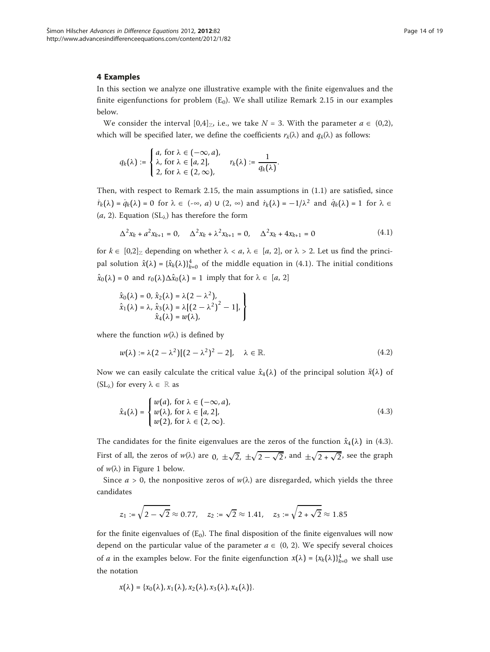## 4 Examples

In this section we analyze one illustrative example with the finite eigenvalues and the finite eigenfunctions for problem  $(E_0)$ . We shall utilize Remark 2.15 in our examples below.

We consider the interval  $[0,4]_7$ , i.e., we take  $N = 3$ . With the parameter  $a \in (0,2)$ , which will be specified later, we define the coefficients  $r_k(\lambda)$  and  $q_k(\lambda)$  as follows:

$$
q_k(\lambda) := \begin{cases} a, \text{ for } \lambda \in (-\infty, a), \\ \lambda, \text{ for } \lambda \in [a, 2], \\ 2, \text{ for } \lambda \in (2, \infty), \end{cases} r_k(\lambda) := \frac{1}{q_k(\lambda)}.
$$

Then, with respect to Remark 2.15, the main assumptions in (1.1) are satisfied, since  $\dot{r}_k(\lambda) = \dot{q}_k(\lambda) = 0$  for  $\lambda \in (-\infty, a) \cup (2, \infty)$  and  $\dot{r}_k(\lambda) = -1/\lambda^2$  and  $\dot{q}_k(\lambda) = 1$  for  $\lambda \in$ (*a*, 2). Equation (SL<sub> $\lambda$ </sub>) has therefore the form

$$
\Delta^2 x_k + a^2 x_{k+1} = 0, \quad \Delta^2 x_k + \lambda^2 x_{k+1} = 0, \quad \Delta^2 x_k + 4x_{k+1} = 0 \tag{4.1}
$$

for  $k \in [0,2]_Z$  depending on whether  $\lambda < a$ ,  $\lambda \in [a, 2]$ , or  $\lambda > 2$ . Let us find the principal solution  $\hat{x}(\lambda) = {\hat{x}_k(\lambda)}_{k=0}^4$  of the middle equation in (4.1). The initial conditions  $\hat{x}_0(\lambda) = 0$  and  $r_0(\lambda) \Delta \hat{x}_0(\lambda) = 1$  imply that for  $\lambda \in [a, 2]$ 

$$
\hat{x}_0(\lambda) = 0, \hat{x}_2(\lambda) = \lambda(2 - \lambda^2),
$$
  
\n
$$
\hat{x}_1(\lambda) = \lambda, \hat{x}_3(\lambda) = \lambda[(2 - \lambda^2)^2 - 1],
$$
  
\n
$$
\hat{x}_4(\lambda) = w(\lambda),
$$

where the function  $w(\lambda)$  is defined by

$$
w(\lambda) := \lambda (2 - \lambda^2) [(2 - \lambda^2)^2 - 2], \quad \lambda \in \mathbb{R}.
$$
 (4.2)

Now we can easily calculate the critical value  $\hat{x}_4(\lambda)$  of the principal solution  $\bar{x}(\lambda)$  of (SL<sub>λ</sub>) for every  $\lambda \in \mathbb{R}$  as

$$
\hat{x}_4(\lambda) = \begin{cases} w(a), \text{ for } \lambda \in (-\infty, a), \\ w(\lambda), \text{ for } \lambda \in [a, 2], \\ w(2), \text{ for } \lambda \in (2, \infty). \end{cases}
$$
\n(4.3)

The candidates for the finite eigenvalues are the zeros of the function  $\hat{x}_4(\lambda)$  in (4.3). First of all, the zeros of  $w(\lambda)$  are  $0, \pm \sqrt{2}, \pm \sqrt{2 - \sqrt{2}}$ , and  $\pm \sqrt{2 + \sqrt{2}}$ , see the graph of  $w(\lambda)$  in Figure [1](#page-14-0) below.

Since  $a > 0$ , the nonpositive zeros of  $w(\lambda)$  are disregarded, which yields the three candidates

$$
z_1 := \sqrt{2 - \sqrt{2}} \approx 0.77
$$
,  $z_2 := \sqrt{2} \approx 1.41$ ,  $z_3 := \sqrt{2 + \sqrt{2}} \approx 1.85$ 

for the finite eigenvalues of  $(E_0)$ . The final disposition of the finite eigenvalues will now depend on the particular value of the parameter  $a \in (0, 2)$ . We specify several choices of *a* in the examples below. For the finite eigenfunction  $x(\lambda) = \{x_k(\lambda)\}_{k=0}^4$  we shall use the notation

$$
x(\lambda) = \{x_0(\lambda), x_1(\lambda), x_2(\lambda), x_3(\lambda), x_4(\lambda)\}.
$$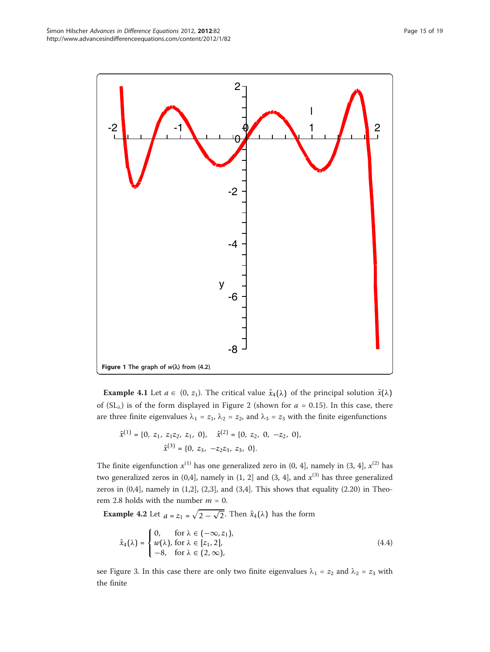<span id="page-14-0"></span>

**Example 4.1** Let  $a \in (0, z_1)$ . The critical value  $\hat{x}_4(\lambda)$  of the principal solution  $\bar{x}(\lambda)$ of (SL<sub> $\lambda$ </sub>) is of the form displayed in Figure [2](#page-15-0) (shown for  $a = 0.15$ ). In this case, there are three finite eigenvalues  $\lambda_1 = z_1$ ,  $\lambda_2 = z_2$ , and  $\lambda_3 = z_3$  with the finite eigenfunctions

$$
\hat{x}^{(1)} = \{0, z_1, z_1z_2, z_1, 0\}, \quad \hat{x}^{(2)} = \{0, z_2, 0, -z_2, 0\},
$$

$$
\hat{x}^{(3)} = \{0, z_3, -z_2z_3, z_3, 0\}.
$$

The finite eigenfunction  $x^{(1)}$  has one generalized zero in (0, 4], namely in (3, 4],  $x^{(2)}$  has two generalized zeros in  $(0,4]$ , namely in  $(1, 2]$  and  $(3, 4]$ , and  $x^{(3)}$  has three generalized zeros in  $(0,4]$ , namely in  $(1,2]$ ,  $(2,3]$ , and  $(3,4]$ . This shows that equality  $(2.20)$  in Theorem 2.8 holds with the number  $m = 0$ .

**Example 4.2** Let  $a = z_1 = \sqrt{2 - \sqrt{2}}$ . Then  $\hat{x}_4(\lambda)$  has the form

$$
\hat{x}_4(\lambda) = \begin{cases}\n0, & \text{for } \lambda \in (-\infty, z_1), \\
w(\lambda), & \text{for } \lambda \in [z_1, 2], \\
-8, & \text{for } \lambda \in (2, \infty),\n\end{cases}
$$
\n(4.4)

see Figure [3](#page-15-0). In this case there are only two finite eigenvalues  $\lambda_1 = z_2$  and  $\lambda_2 = z_3$  with the finite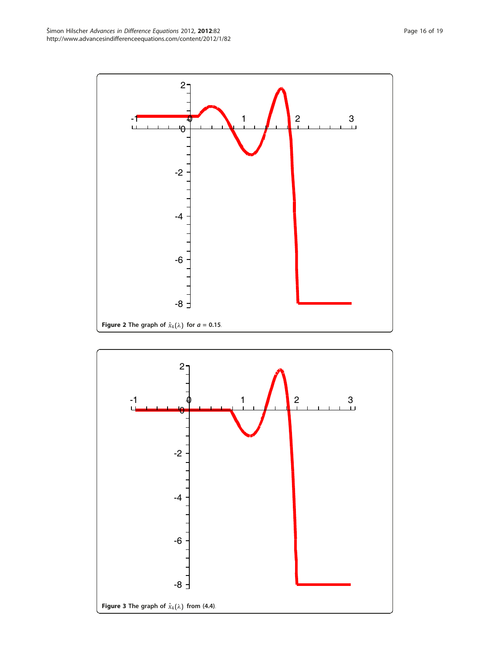<span id="page-15-0"></span>

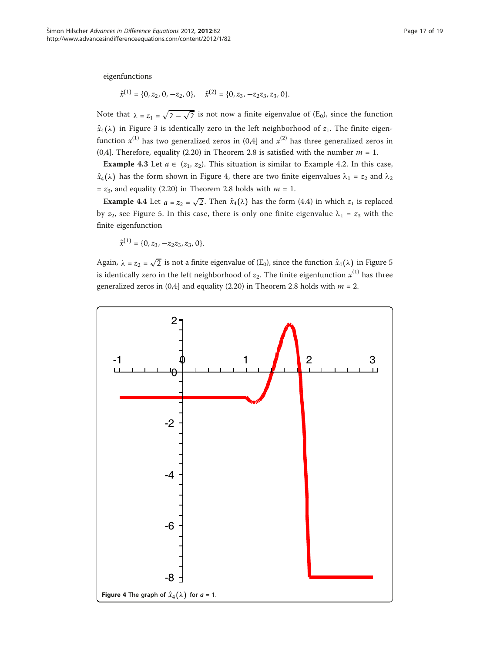eigenfunctions

$$
\hat{x}^{(1)} = \{0, z_2, 0, -z_2, 0\}, \quad \hat{x}^{(2)} = \{0, z_3, -z_2 z_3, z_3, 0\}.
$$

Note that  $\lambda = z_1 = \sqrt{2 - \sqrt{2}}$  is not now a finite eigenvalue of (E<sub>0</sub>), since the function  $\hat{x}_4(\lambda)$  in Figure [3](#page-15-0) is identically zero in the left neighborhood of  $z_1$ . The finite eigenfunction  $x^{(1)}$  has two generalized zeros in (0,4] and  $x^{(2)}$  has three generalized zeros in (0,4]. Therefore, equality (2.20) in Theorem 2.8 is satisfied with the number  $m = 1$ .

**Example 4.3** Let  $a \in (z_1, z_2)$ . This situation is similar to Example 4.2. In this case,  $\hat{x}_4(\lambda)$  has the form shown in Figure 4, there are two finite eigenvalues  $\lambda_1 = z_2$  and  $\lambda_2$ =  $z_3$ , and equality (2.20) in Theorem 2.8 holds with  $m = 1$ .

**Example 4.4** Let  $a = z_2 = \sqrt{2}$ . Then  $\hat{x}_4(\lambda)$  has the form (4.4) in which  $z_1$  is replaced by  $z_2$ , see Figure [5](#page-17-0). In this case, there is only one finite eigenvalue  $\lambda_1 = z_3$  with the finite eigenfunction

 $\hat{x}^{(1)} = \{0, z_3, -z_2z_3, z_3, 0\}.$ 

Again,  $\lambda = z_2 = \sqrt{2}$  is not a finite eigenvalue of (E<sub>0</sub>), since the function  $\hat{x}_4(\lambda)$  in Figure [5](#page-17-0) is identically zero in the left neighborhood of  $z_2$ . The finite eigenfunction  $x^{(1)}$  has three generalized zeros in  $(0,4]$  and equality (2.20) in Theorem 2.8 holds with  $m = 2$ .

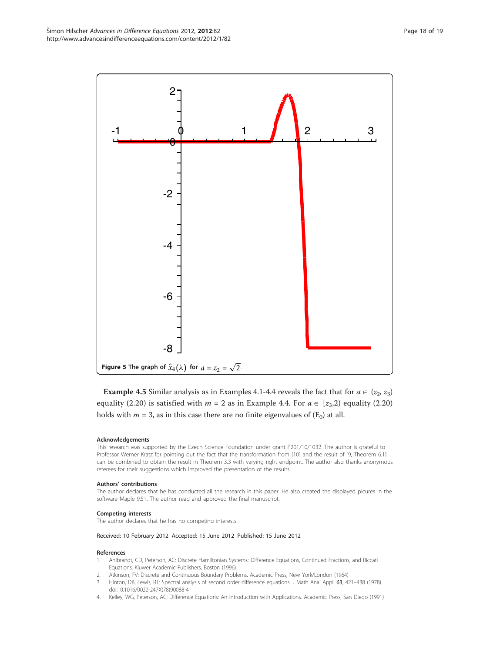<span id="page-17-0"></span>

**Example 4.5** Similar analysis as in Examples 4.1-4.4 reveals the fact that for  $a \in (z_2, z_3)$ equality (2.20) is satisfied with  $m = 2$  as in Example 4.4. For  $a \in [z_3,2)$  equality (2.20) holds with  $m = 3$ , as in this case there are no finite eigenvalues of (E<sub>0</sub>) at all.

#### Acknowledgements

This research was supported by the Czech Science Foundation under grant P201/10/1032. The author is grateful to Professor Werner Kratz for pointing out the fact that the transformation from [\[10\]](#page-18-0) and the result of [9, Theorem 6.1] can be combined to obtain the result in Theorem 3.3 with varying right endpoint. The author also thanks anonymous referees for their suggestions which improved the presentation of the results.

## Authors' contributions

The author declares that he has conducted all the research in this paper. He also created the displayed picures in the software Maple 9.51. The author read and approved the final manuscript.

#### Competing interests

The author declares that he has no competing interests.

#### Received: 10 February 2012 Accepted: 15 June 2012 Published: 15 June 2012

#### References

- 1. Ahlbrandt, CD, Peterson, AC: Discrete Hamiltonian Systems: Difference Equations, Continued Fractions, and Riccati Equations. Kluwer Academic Publishers, Boston (1996)
- 2. Atkinson, FV: Discrete and Continuous Boundary Problems. Academic Press, New York/London (1964)
- 3. Hinton, DB, Lewis, RT: Spectral analysis of second order difference equations. J Math Anal Appl. 63, 421–438 (1978). doi:10.1016/0022-247X(78)90088-4
- 4. Kelley, WG, Peterson, AC: Difference Equations: An Introduction with Applications. Academic Press, San Diego (1991)